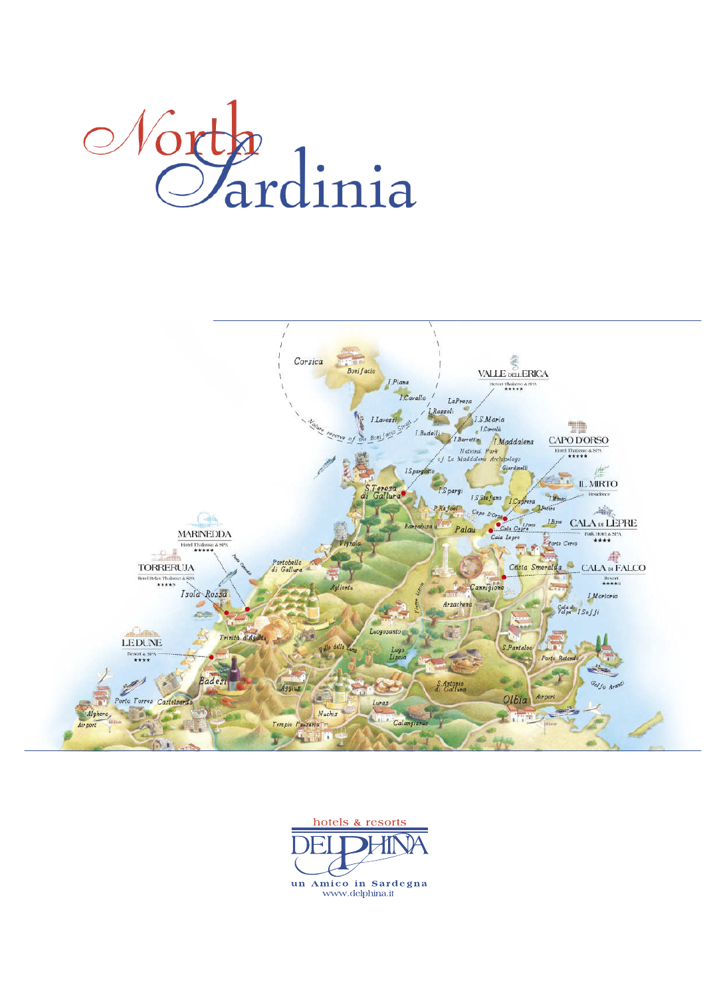



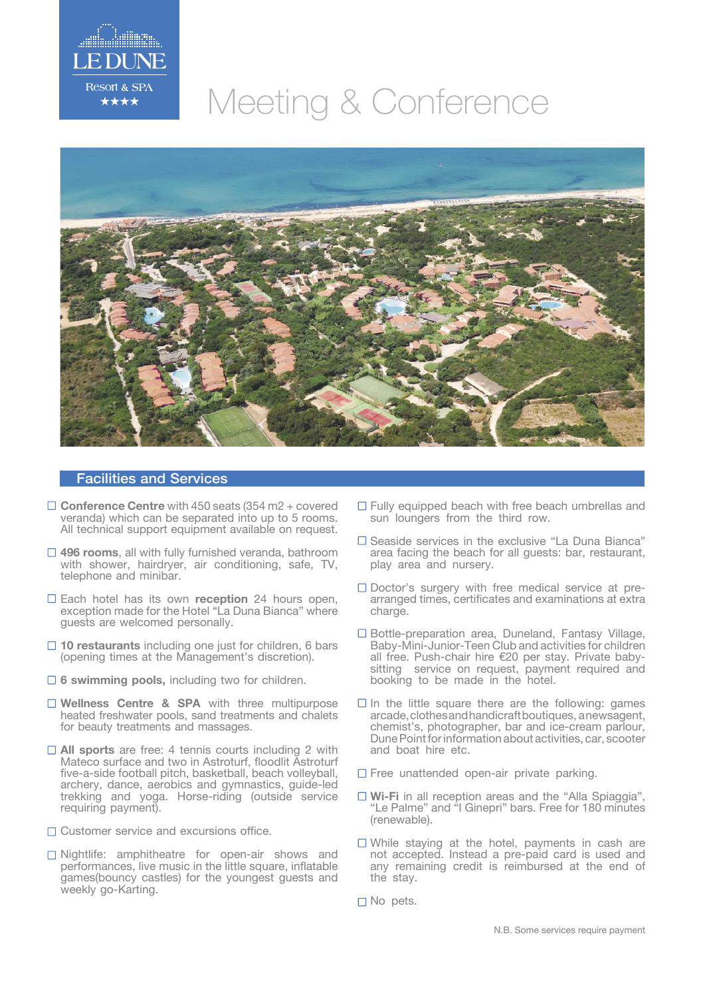

## Meeting & Conference



## Facilities and Services

- □ **Conference Centre** with 450 seats (354 m2 + covered veranda) which can be separated into up to 5 rooms. All technical support equipment available on request.
- **496 rooms**, all with fully furnished veranda, bathroom with shower, hairdryer, air conditioning, safe, TV, telephone and minibar.
- Each hotel has its own **reception** 24 hours open, exception made for the Hotel "La Duna Bianca" where guests are welcomed personally.
- □ 10 restaurants including one just for children, 6 bars (opening times at the Management's discretion).
- **6 swimming pools,** including two for children.
- □ Wellness Centre & SPA with three multipurpose heated freshwater pools, sand treatments and chalets for beauty treatments and massages.
- □ All sports are free: 4 tennis courts including 2 with Mateco surface and two in Astroturf, floodlit Astroturf five-a-side football pitch, basketball, beach volleyball, archery, dance, aerobics and gymnastics, guide-led trekking and yoga. Horse-riding (outside service requiring payment).
- □ Customer service and excursions office.
- □ Nightlife: amphitheatre for open-air shows and performances, live music in the little square, inflatable games(bouncy castles) for the youngest guests and weekly go-Karting.
- $\Box$  Fully equipped beach with free beach umbrellas and sun loungers from the third row.
- $\square$  Seaside services in the exclusive "La Duna Bianca" area facing the beach for all guests: bar, restaurant, play area and nursery.
- $\square$  Doctor's surgery with free medical service at prearranged times, certificates and examinations at extra charge.
- $\square$  Bottle-preparation area, Duneland, Fantasy Village, Baby-Mini-Junior-Teen Club and activities for children all free. Push-chair hire €20 per stay. Private babysitting service on request, payment required and booking to be made in the hotel.
- $\Box$  In the little square there are the following: games arcade,clothesandhandicraftboutiques, anewsagent, chemist's, photographer, bar and ice-cream parlour, Dune Point for information about activities, car, scooter and boat hire etc.
- $\square$  Free unattended open-air private parking.
- □ **Wi-Fi** in all reception areas and the "Alla Spiaggia", "Le Palme" and "I Ginepri" bars. Free for 180 minutes (renewable).
- While staying at the hotel, payments in cash are not accepted. Instead a pre-paid card is used and any remaining credit is reimbursed at the end of the stay.
- $\Box$  No pets.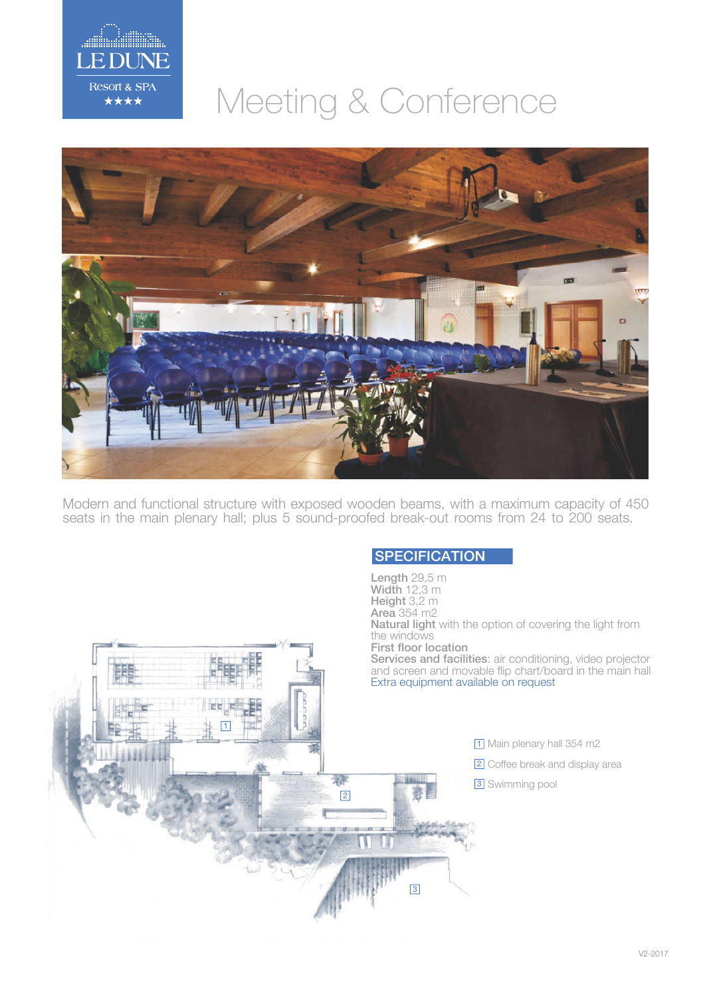

## Meeting & Conference



Modern and functional structure with exposed wooden beams, with a maximum capacity of 450 seats in the main plenary hall; plus 5 sound-proofed break-out rooms from 24 to 200 seats.

## **SPECIFICATION**

Length 29,5 m Width 12,3 m Height 3,2 m Area 354 m2 Natural light with the option of covering the light from the windows First floor location Services and facilities: air conditioning, video projector and screen and movable flip chart/board in the main hall Extra equipment available on request 1 1 Main plenary hall 354 m2 2 Coffee break and display area 瀧 **3** Swimming pool 2 3